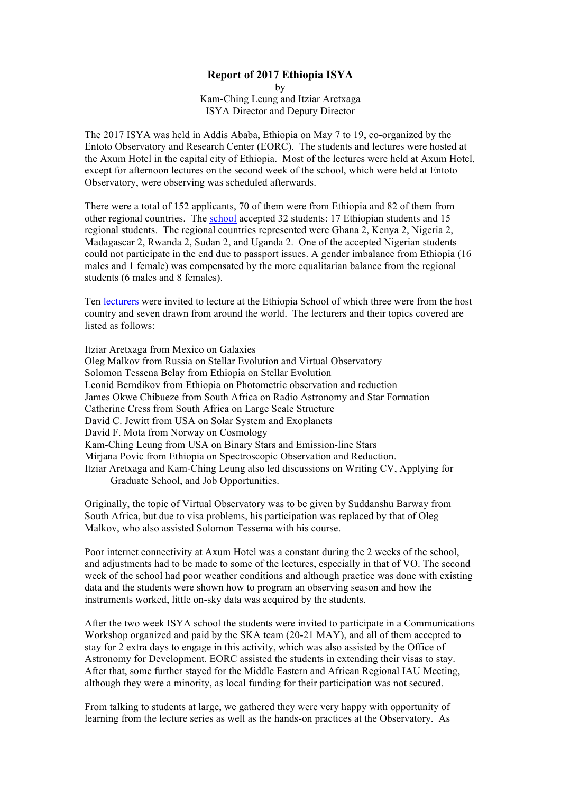# **Report of 2017 Ethiopia ISYA**

by Kam-Ching Leung and Itziar Aretxaga ISYA Director and Deputy Director

The 2017 ISYA was held in Addis Ababa, Ethiopia on May 7 to 19, co-organized by the Entoto Observatory and Research Center (EORC). The students and lectures were hosted at the Axum Hotel in the capital city of Ethiopia. Most of the lectures were held at Axum Hotel, except for afternoon lectures on the second week of the school, which were held at Entoto Observatory, were observing was scheduled afterwards.

There were a total of 152 applicants, 70 of them were from Ethiopia and 82 of them from other regional countries. The [school](https://www.iau.org/static/science/collaborative/young_astronomers/2017-ethiopia-isya-activities.pdf) accepted 32 students: 17 Ethiopian students and 15 regional students. The regional countries represented were Ghana 2, Kenya 2, Nigeria 2, Madagascar 2, Rwanda 2, Sudan 2, and Uganda 2. One of the accepted Nigerian students could not participate in the end due to passport issues. A gender imbalance from Ethiopia (16 males and 1 female) was compensated by the more equalitarian balance from the regional students (6 males and 8 females).

Ten [lecturers](https://www.iau.org/static/science/collaborative/young_astronomers/2017-ethiopia-isya-alumni.pdf) were invited to lecture at the Ethiopia School of which three were from the host country and seven drawn from around the world. The lecturers and their topics covered are listed as follows:

Itziar Aretxaga from Mexico on Galaxies Oleg Malkov from Russia on Stellar Evolution and Virtual Observatory Solomon Tessena Belay from Ethiopia on Stellar Evolution Leonid Berndikov from Ethiopia on Photometric observation and reduction James Okwe Chibueze from South Africa on Radio Astronomy and Star Formation Catherine Cress from South Africa on Large Scale Structure David C. Jewitt from USA on Solar System and Exoplanets David F. Mota from Norway on Cosmology Kam-Ching Leung from USA on Binary Stars and Emission-line Stars Mirjana Povic from Ethiopia on Spectroscopic Observation and Reduction. Itziar Aretxaga and Kam-Ching Leung also led discussions on Writing CV, Applying for Graduate School, and Job Opportunities.

Originally, the topic of Virtual Observatory was to be given by Suddanshu Barway from South Africa, but due to visa problems, his participation was replaced by that of Oleg Malkov, who also assisted Solomon Tessema with his course.

Poor internet connectivity at Axum Hotel was a constant during the 2 weeks of the school, and adjustments had to be made to some of the lectures, especially in that of VO. The second week of the school had poor weather conditions and although practice was done with existing data and the students were shown how to program an observing season and how the instruments worked, little on-sky data was acquired by the students.

After the two week ISYA school the students were invited to participate in a Communications Workshop organized and paid by the SKA team (20-21 MAY), and all of them accepted to stay for 2 extra days to engage in this activity, which was also assisted by the Office of Astronomy for Development. EORC assisted the students in extending their visas to stay. After that, some further stayed for the Middle Eastern and African Regional IAU Meeting, although they were a minority, as local funding for their participation was not secured.

From talking to students at large, we gathered they were very happy with opportunity of learning from the lecture series as well as the hands-on practices at the Observatory. As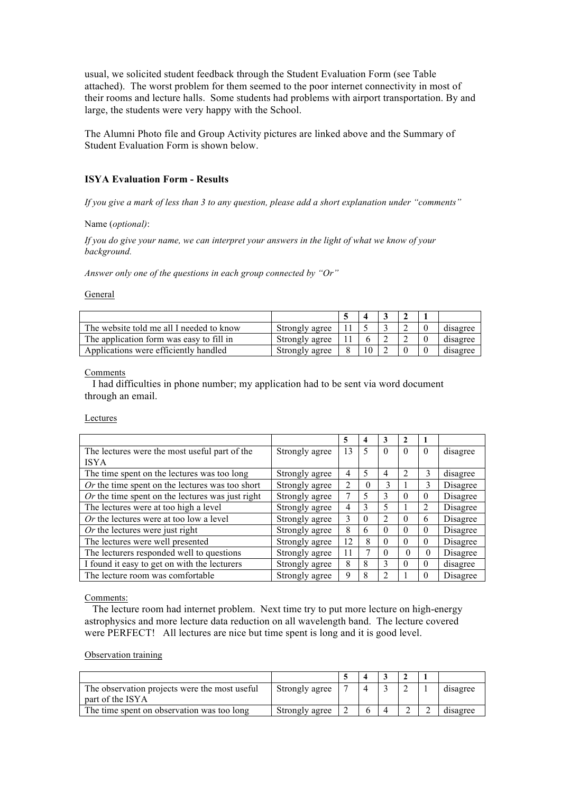usual, we solicited student feedback through the Student Evaluation Form (see Table attached). The worst problem for them seemed to the poor internet connectivity in most of their rooms and lecture halls. Some students had problems with airport transportation. By and large, the students were very happy with the School.

The Alumni Photo file and Group Activity pictures are linked above and the Summary of Student Evaluation Form is shown below.

# **ISYA Evaluation Form - Results**

*If you give a mark of less than 3 to any question, please add a short explanation under "comments"*

Name (*optional)*:

*If you do give your name, we can interpret your answers in the light of what we know of your background.*

*Answer only one of the questions in each group connected by "Or"*

#### General

| The website told me all I needed to know | Strongly agree |  |  | disagree |
|------------------------------------------|----------------|--|--|----------|
| The application form was easy to fill in | Strongly agree |  |  | disagree |
| Applications were efficiently handled    | Strongly agree |  |  | disagree |

## Comments

 I had difficulties in phone number; my application had to be sent via word document through an email.

Lectures

|                                                    |                | 5              | 4             | 3                        | 2        |          |          |
|----------------------------------------------------|----------------|----------------|---------------|--------------------------|----------|----------|----------|
| The lectures were the most useful part of the      | Strongly agree | 13             | 5             | $\Omega$                 | $\Omega$ | $\Omega$ | disagree |
| <b>ISYA</b>                                        |                |                |               |                          |          |          |          |
| The time spent on the lectures was too long        | Strongly agree | 4              | 5             | 4                        | 2        | 3        | disagree |
| $Or$ the time spent on the lectures was too short  | Strongly agree | $\overline{2}$ | 0             | 3                        |          | 3        | Disagree |
| $Or$ the time spent on the lectures was just right | Strongly agree |                | 5             | 3                        | $\Omega$ | $\Omega$ | Disagree |
| The lectures were at too high a level              | Strongly agree | 4              | $\mathcal{E}$ | 5                        |          | 2        | Disagree |
| Or the lectures were at too low a level            | Strongly agree | 3              | $\Omega$      | 2                        | $\Omega$ | 6        | Disagree |
| Or the lectures were just right                    | Strongly agree | 8              | 6             | $\theta$                 | $\Omega$ | $\Omega$ | Disagree |
| The lectures were well presented                   | Strongly agree | 12             | 8             | $\Omega$                 | $\Omega$ | $\Omega$ | Disagree |
| The lecturers responded well to questions          | Strongly agree | 11             |               | $\Omega$                 | $\Omega$ | $\Omega$ | Disagree |
| I found it easy to get on with the lecturers       | Strongly agree | 8              | 8             | 3                        | $\Omega$ | $\Omega$ | disagree |
| The lecture room was comfortable                   | Strongly agree | 9              | 8             | $\overline{\mathcal{L}}$ |          | $\Omega$ | Disagree |

Comments:

 The lecture room had internet problem. Next time try to put more lecture on high-energy astrophysics and more lecture data reduction on all wavelength band. The lecture covered were PERFECT! All lectures are nice but time spent is long and it is good level.

#### Observation training

| The observation projects were the most useful<br>part of the ISYA | Strongly agree |  |  | disagree |
|-------------------------------------------------------------------|----------------|--|--|----------|
| The time spent on observation was too long                        | Strongly agree |  |  | disagree |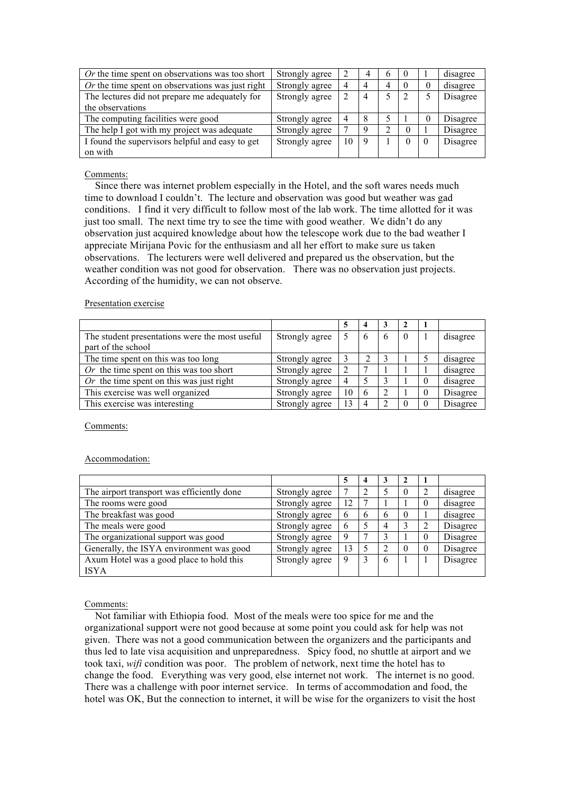| <i>Or</i> the time spent on observations was too short  | Strongly agree |    |                |   | $\theta$ |          | disagree |
|---------------------------------------------------------|----------------|----|----------------|---|----------|----------|----------|
| <i>Or</i> the time spent on observations was just right | Strongly agree | 4  | 4              | 4 | $\theta$ | 0        | disagree |
| The lectures did not prepare me adequately for          | Strongly agree |    | $\overline{4}$ |   |          |          | Disagree |
| the observations                                        |                |    |                |   |          |          |          |
| The computing facilities were good                      | Strongly agree | 4  | 8              |   |          | $\theta$ | Disagree |
| The help I got with my project was adequate             | Strongly agree |    | 9              |   | $\Omega$ |          | Disagree |
| I found the supervisors helpful and easy to get         | Strongly agree | 10 | 9              |   | $\theta$ |          | Disagree |
| on with                                                 |                |    |                |   |          |          |          |

# Comments:

 Since there was internet problem especially in the Hotel, and the soft wares needs much time to download I couldn't. The lecture and observation was good but weather was gad conditions. I find it very difficult to follow most of the lab work. The time allotted for it was just too small. The next time try to see the time with good weather. We didn't do any observation just acquired knowledge about how the telescope work due to the bad weather I appreciate Mirijana Povic for the enthusiasm and all her effort to make sure us taken observations. The lecturers were well delivered and prepared us the observation, but the weather condition was not good for observation. There was no observation just projects. According of the humidity, we can not observe.

## Presentation exercise

|                                                |                |    | 4             | 3             |   |          |          |
|------------------------------------------------|----------------|----|---------------|---------------|---|----------|----------|
| The student presentations were the most useful | Strongly agree |    | $\mathfrak b$ | $\mathfrak b$ | 0 |          | disagree |
| part of the school                             |                |    |               |               |   |          |          |
| The time spent on this was too long            | Strongly agree |    |               |               |   |          | disagree |
| Or the time spent on this was too short        | Strongly agree |    |               |               |   |          | disagree |
| Or the time spent on this was just right       | Strongly agree |    |               |               |   |          | disagree |
| This exercise was well organized               | Strongly agree | 10 | 6             | 2             |   | $\theta$ | Disagree |
| This exercise was interesting                  | Strongly agree | 13 | 4             |               |   |          | Disagree |

Comments:

## Accommodation:

|                                            |                |    | 4 |   |          |          |          |
|--------------------------------------------|----------------|----|---|---|----------|----------|----------|
| The airport transport was efficiently done | Strongly agree |    |   |   | $\theta$ | 2        | disagree |
| The rooms were good                        | Strongly agree | 12 |   |   |          | $\Omega$ | disagree |
| The breakfast was good                     | Strongly agree |    | 6 | 6 | $\theta$ |          | disagree |
| The meals were good                        | Strongly agree |    |   | 4 |          |          | Disagree |
| The organizational support was good        | Strongly agree | 9  |   | 3 |          | $\theta$ | Disagree |
| Generally, the ISYA environment was good   | Strongly agree | 13 |   | ∍ |          | $\theta$ | Disagree |
| Axum Hotel was a good place to hold this   | Strongly agree | 9  |   | 6 |          |          | Disagree |
| <b>ISYA</b>                                |                |    |   |   |          |          |          |

## Comments:

 Not familiar with Ethiopia food. Most of the meals were too spice for me and the organizational support were not good because at some point you could ask for help was not given. There was not a good communication between the organizers and the participants and thus led to late visa acquisition and unpreparedness. Spicy food, no shuttle at airport and we took taxi, *wifi* condition was poor. The problem of network, next time the hotel has to change the food. Everything was very good, else internet not work. The internet is no good. There was a challenge with poor internet service. In terms of accommodation and food, the hotel was OK, But the connection to internet, it will be wise for the organizers to visit the host